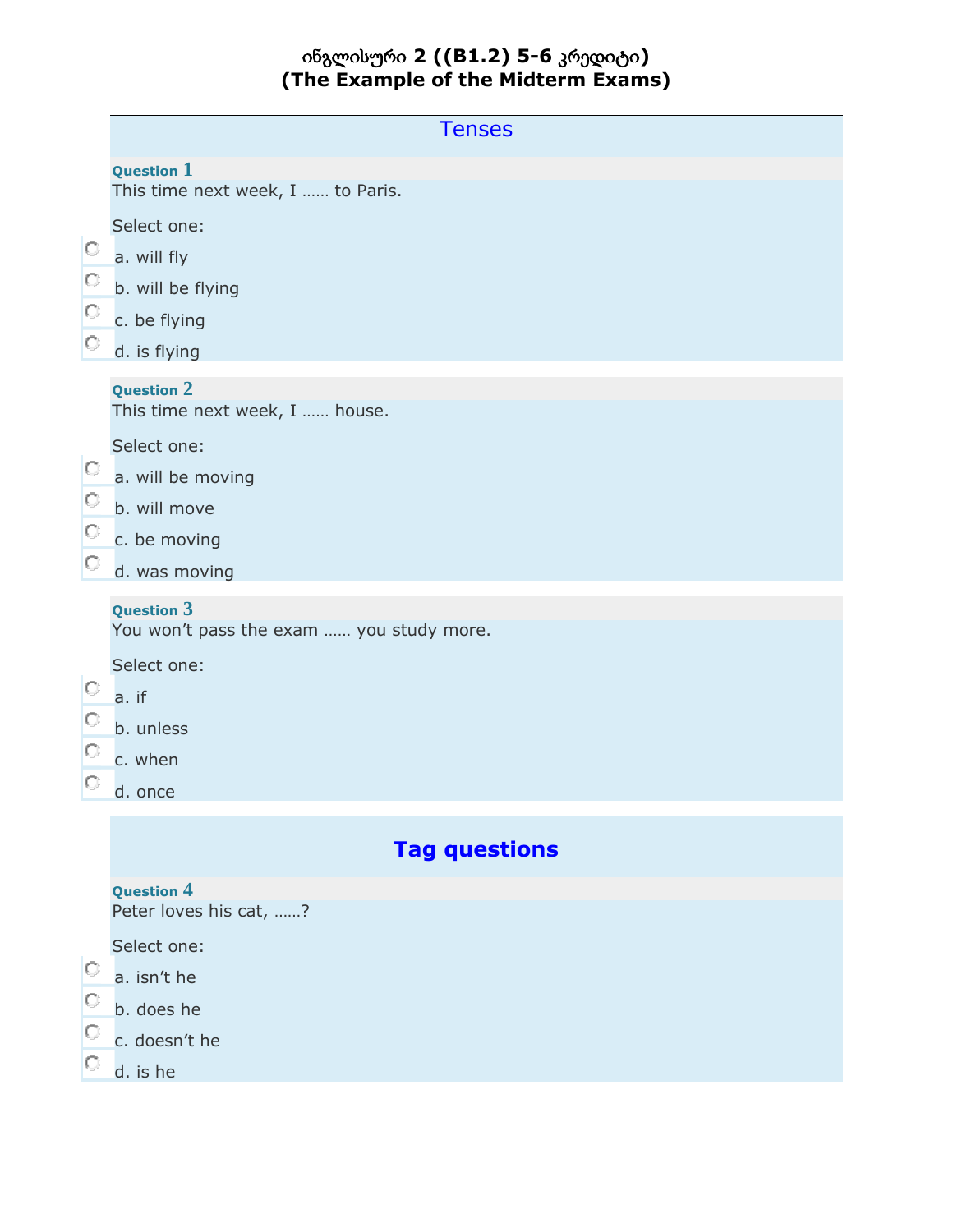# ინგლისური **2 ((B1.2) 5-6** კრედიტი**) (The Example of the Midterm Exams)**

|                                                                      | <b>Tenses</b>                                                                                                                                                                                              |
|----------------------------------------------------------------------|------------------------------------------------------------------------------------------------------------------------------------------------------------------------------------------------------------|
|                                                                      | <b>Question 1</b><br>This time next week, I  to Paris.                                                                                                                                                     |
| $\circ$<br>$\circ$<br>$\circ$<br>$\circ$<br>0.<br>$\circ$<br>$\circ$ | Select one:<br>a. will fly<br>b. will be flying<br>c. be flying<br>d. is flying<br><b>Question 2</b><br>This time next week, I  house.<br>Select one:<br>a. will be moving<br>b. will move<br>c. be moving |
| O                                                                    | d. was moving                                                                                                                                                                                              |
| 0<br>O<br>$\circ$<br>O                                               | <b>Question 3</b><br>You won't pass the exam  you study more.<br>Select one:<br>a. if<br>b. unless<br>c. when<br>d. once                                                                                   |
|                                                                      | <b>Tag questions</b>                                                                                                                                                                                       |
| $\circ$                                                              | <b>Question 4</b><br>Peter loves his cat, ?<br>Select one:<br>a. isn't he                                                                                                                                  |
| $\circ$<br>O                                                         | b. does he<br>c. doesn't he<br>d. is he                                                                                                                                                                    |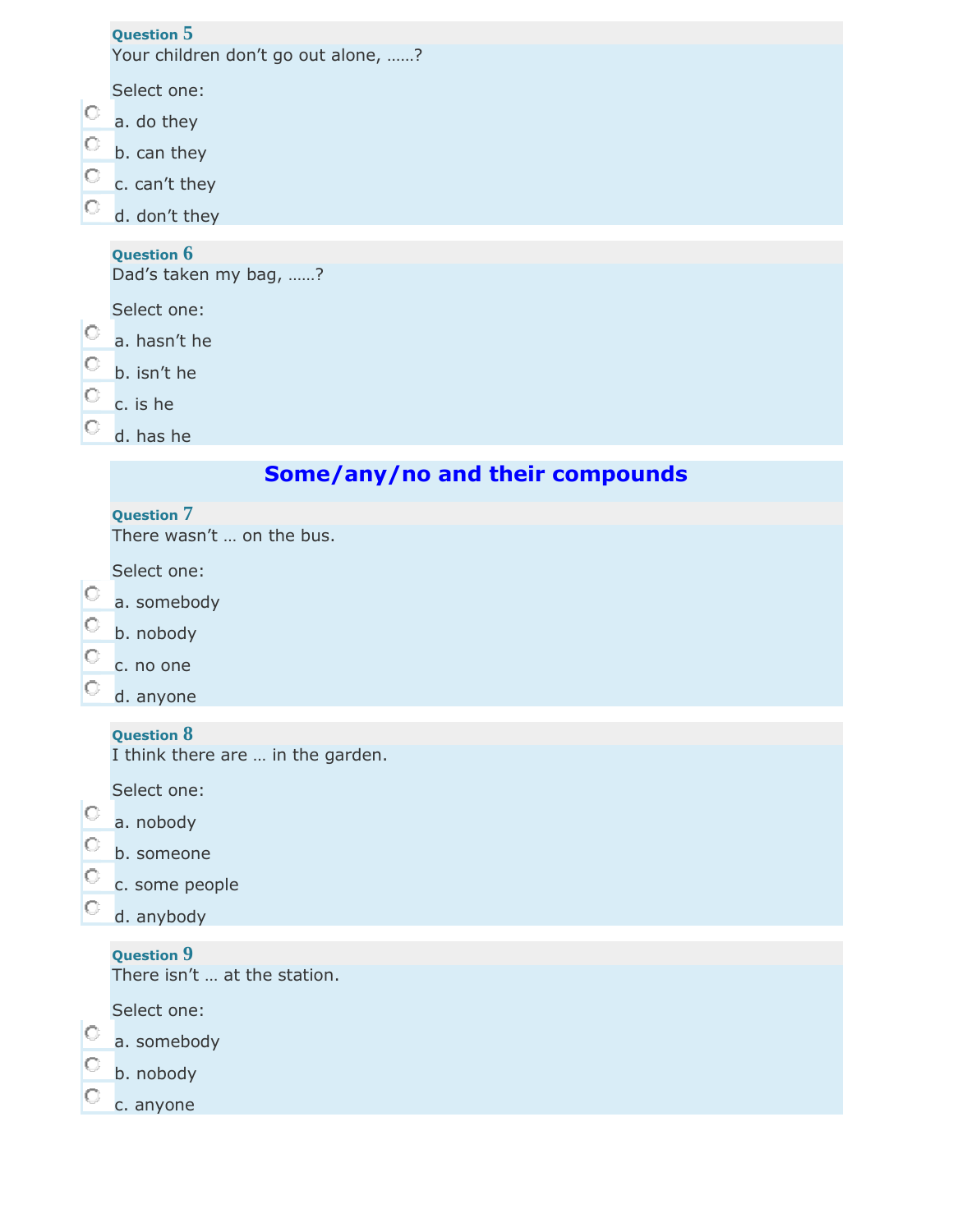|         | <b>Question 5</b>                   |
|---------|-------------------------------------|
|         | Your children don't go out alone, ? |
|         | Select one:                         |
|         |                                     |
| $\circ$ | a. do they                          |
| $\circ$ | b. can they                         |
| $\circ$ | c. can't they                       |
| $\circ$ | d. don't they                       |
|         |                                     |
|         | <b>Question 6</b>                   |
|         | Dad's taken my bag, ?               |
|         | Select one:                         |
| $\circ$ | a. hasn't he                        |
|         |                                     |
| $\circ$ | b. isn't he                         |
| $\circ$ | c. is he                            |
|         | d. has he                           |

# **Some/any/no and their compounds**

# **Question 7**

There wasn't … on the bus.

Select one:

- a. somebody
- C b. nobody
- c. no one
- О. d. anyone

## **Question 8**

I think there are … in the garden.

Select one:

- $\overline{\text{a}}$ . nobody
- b. someone
- c. some people
- $\circ$ d. anybody

# **Question 9**

There isn't … at the station.

Select one:

|  | a. somebody |
|--|-------------|
|  |             |

- О. b. nobody
- О. c. anyone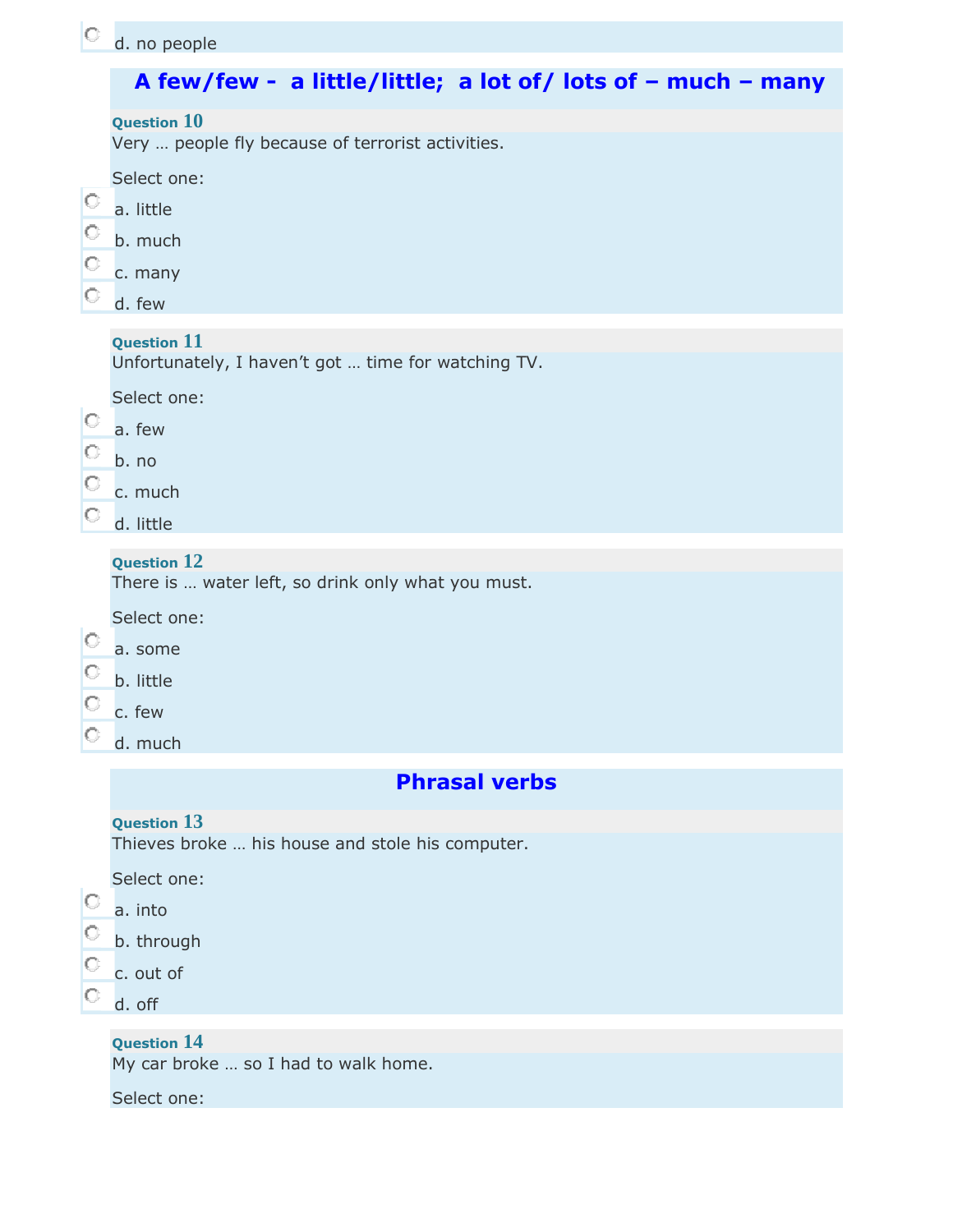# **A few/few - a little/little; a lot of/ lots of – much – many**

| Question $10$ |  |
|---------------|--|
|---------------|--|

Very … people fly because of terrorist activities.

Select one:

- $\circ$ a. little
- О. b. much
- О. c. many
- О. d. few

## **Question 11**

Unfortunately, I haven't got … time for watching TV.

Select one:

- 0 a. few
- О. b. no
- О. c. much
- **d.** little

## **Question 12**

There is … water left, so drink only what you must.

- Select one:
- 0 a. some
- О. b. little
- О. c. few
- $\circ$ d. much

# **Phrasal verbs**

## **Question 13**

Thieves broke … his house and stole his computer.

Select one:

#### О. a. into

- b. through
- О. c. out of
- О. d. off

## **Question 14**

My car broke … so I had to walk home.

Select one: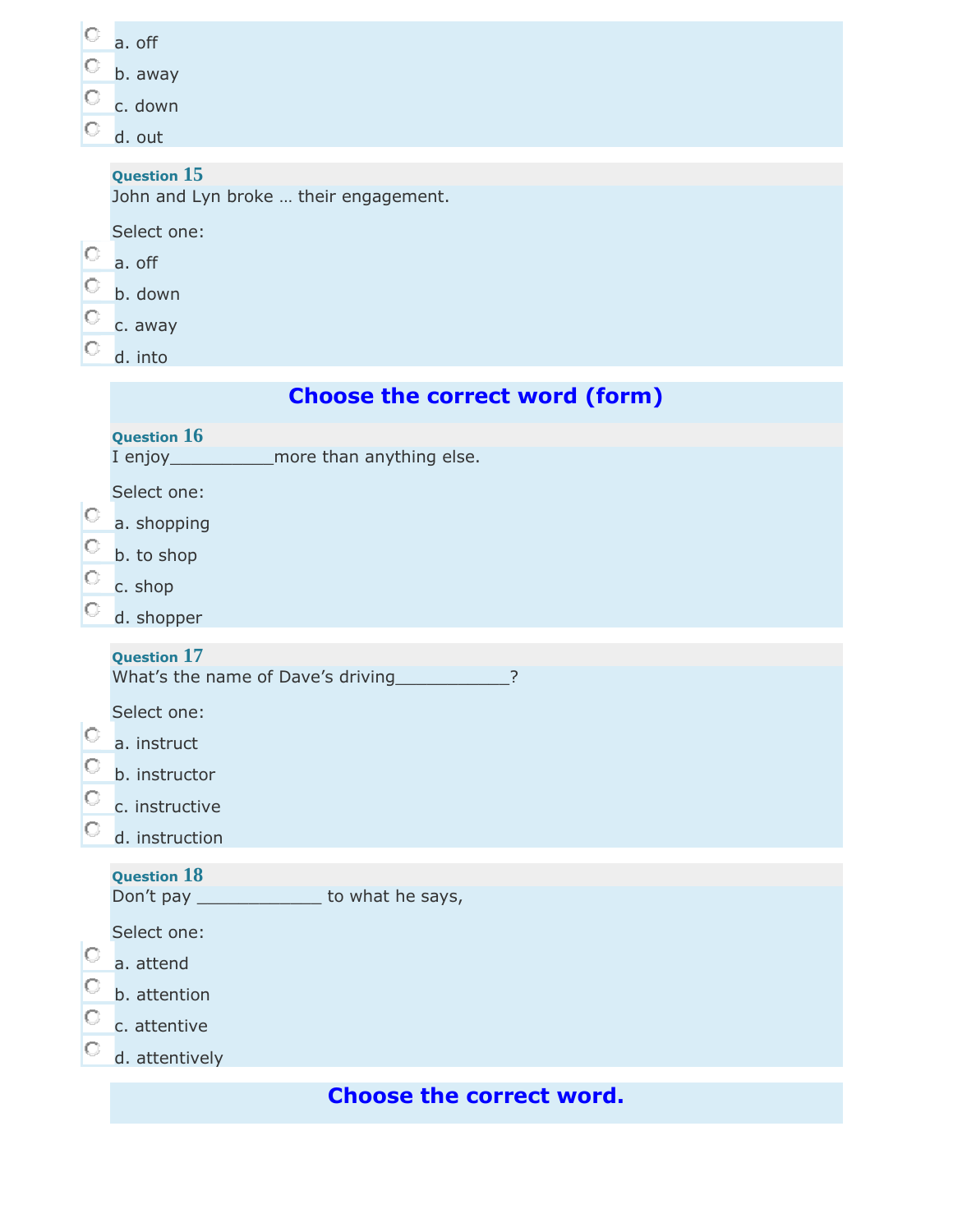| $\circ$ | a. off                                                      |
|---------|-------------------------------------------------------------|
| $\circ$ | b. away                                                     |
| $\circ$ | c. down                                                     |
| $\circ$ | d. out                                                      |
|         | <b>Question 15</b><br>John and Lyn broke  their engagement. |
|         | Select one:                                                 |
| $\circ$ | a. off                                                      |
| O       | b. down                                                     |
| О       | c. away                                                     |

 $\boxed{\circ}$ d. into

|                                    | <b>Question 16</b><br>I enjoy_________________more than anything else.          |
|------------------------------------|---------------------------------------------------------------------------------|
| $\circ$<br>$\circ$<br>$\circ$<br>O | Select one:<br>a. shopping<br>b. to shop<br>c. shop<br>d. shopper               |
|                                    |                                                                                 |
|                                    | <b>Question 17</b><br>What's the name of Dave's driving<br>$\overline{?}$       |
| $\circ$<br>O<br>O<br>O             | Select one:<br>a. instruct<br>b. instructor<br>c. instructive<br>d. instruction |
|                                    | <b>Question 18</b>                                                              |
|                                    | Don't pay _______________ to what he says,                                      |
| O<br>O<br>O<br>O                   | Select one:<br>a. attend<br>b. attention<br>c. attentive<br>d. attentively      |
|                                    | <b>Choose the correct word.</b>                                                 |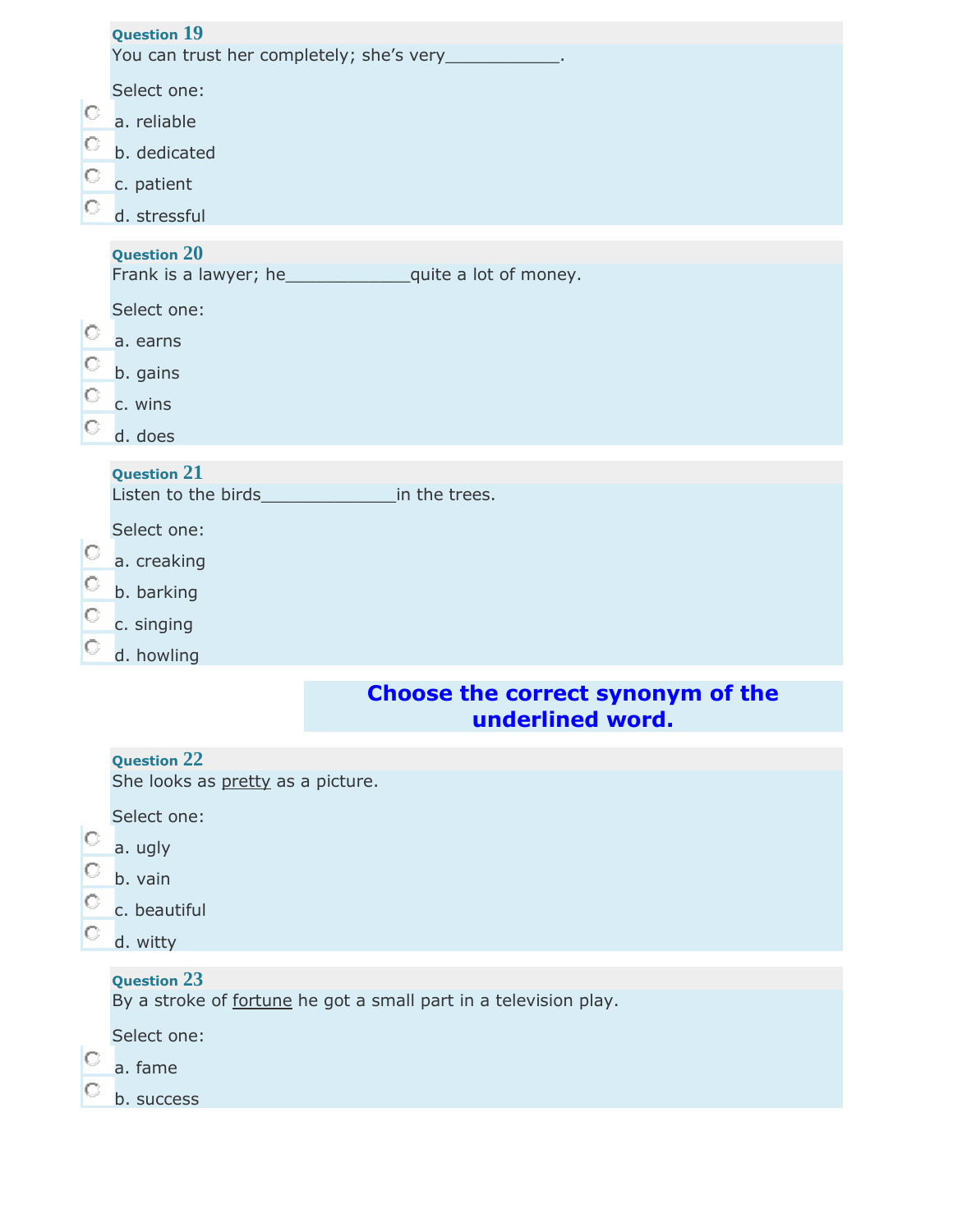|   | <b>Question 19</b><br>You can trust her completely; she's very____________.            |
|---|----------------------------------------------------------------------------------------|
|   | Select one:                                                                            |
| O | a. reliable                                                                            |
| O | b. dedicated                                                                           |
| O | c. patient                                                                             |
| O | d. stressful                                                                           |
|   | <b>Question 20</b>                                                                     |
|   | Select one:                                                                            |
| O | a. earns                                                                               |
| O | b. gains                                                                               |
| O | c. wins                                                                                |
| O | d. does                                                                                |
|   | <b>Question 21</b>                                                                     |
|   |                                                                                        |
|   | Select one:                                                                            |
| 0 | a. creaking                                                                            |
| O | b. barking                                                                             |
| O | c. singing                                                                             |
|   | d. howling                                                                             |
|   | Choose the correct synonym of the<br>underlined word.                                  |
|   | <b>Question 22</b>                                                                     |
|   | She looks as pretty as a picture.                                                      |
|   | Select one:                                                                            |
| O |                                                                                        |
|   | a. ugly                                                                                |
| O | b. vain                                                                                |
| O | c. beautiful                                                                           |
| O | d. witty                                                                               |
|   | <b>Question 23</b><br>By a stroke of fortune he got a small part in a television play. |
|   | Select one:                                                                            |
| O | a. fame                                                                                |
|   | b. success                                                                             |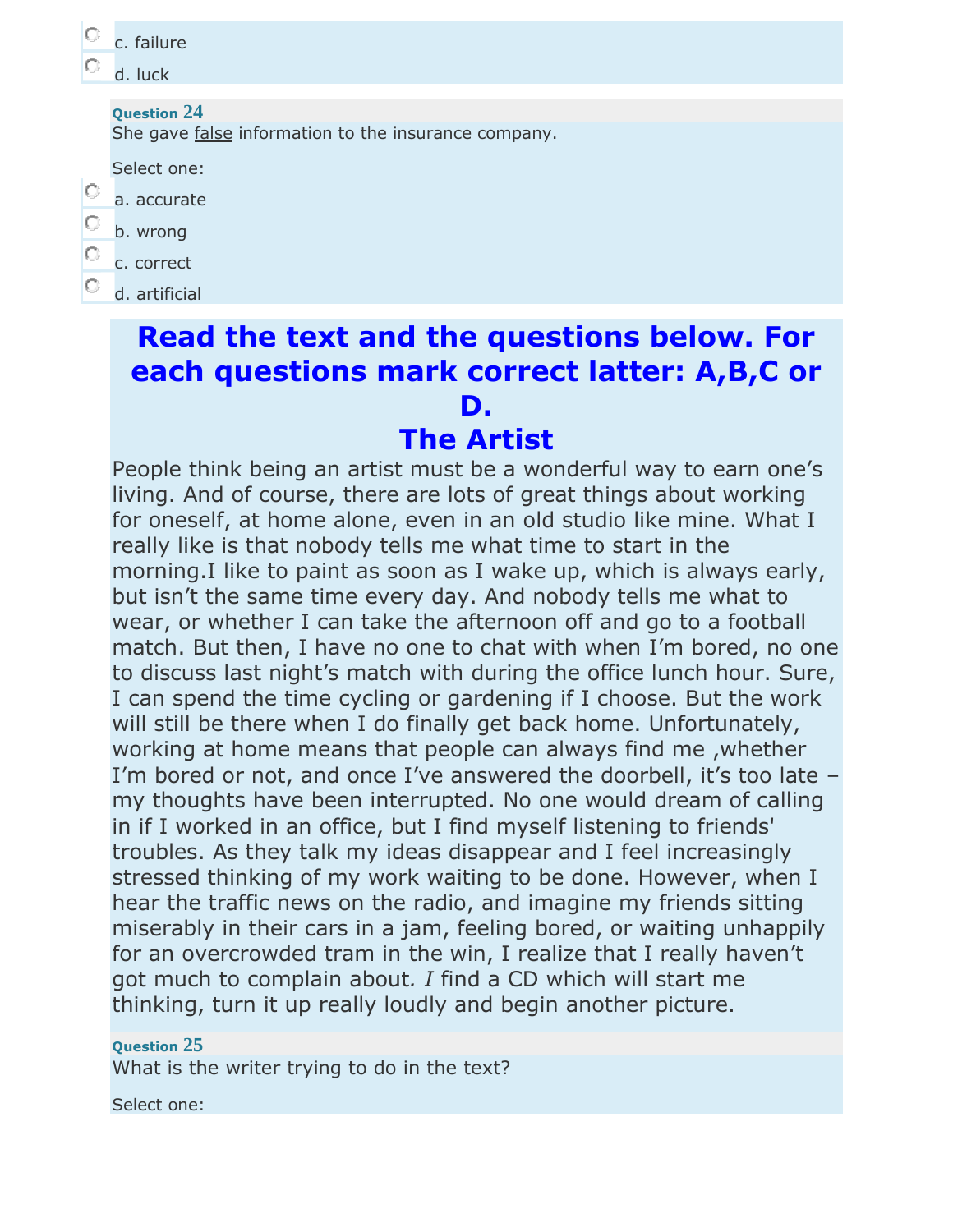|         | c. failure                                           |
|---------|------------------------------------------------------|
|         | d. luck                                              |
|         |                                                      |
|         | <b>Question 24</b>                                   |
|         | She gave false information to the insurance company. |
|         | Select one:                                          |
|         | a. accurate                                          |
|         |                                                      |
| O       | b. wrong                                             |
| $\circ$ | c. correct                                           |
|         |                                                      |
|         | d. artificial                                        |
|         |                                                      |
|         | <b>Read the text and the questions below. For</b>    |

# **each questions mark correct latter: A,B,C or D.**

# **The Artist**

People think being an artist must be a wonderful way to earn one's living. And of course, there are lots of great things about working for oneself, at home alone, even in an old studio like mine. What I really like is that nobody tells me what time to start in the morning.I like to paint as soon as I wake up, which is always early, but isn't the same time every day. And nobody tells me what to wear, or whether I can take the afternoon off and go to a football match. But then, I have no one to chat with when I'm bored, no one to discuss last night's match with during the office lunch hour. Sure, I can spend the time cycling or gardening if I choose. But the work will still be there when I do finally get back home. Unfortunately, working at home means that people can always find me ,whether I'm bored or not, and once I've answered the doorbell, it's too late – my thoughts have been interrupted. No one would dream of calling in if I worked in an office, but I find myself listening to friends' troubles. As they talk my ideas disappear and I feel increasingly stressed thinking of my work waiting to be done. However, when I hear the traffic news on the radio, and imagine my friends sitting miserably in their cars in a jam, feeling bored, or waiting unhappily for an overcrowded tram in the win, I realize that I really haven't got much to complain about*. I* find a CD which will start me thinking, turn it up really loudly and begin another picture.

# **Question 25**

What is the writer trying to do in the text?

Select one: